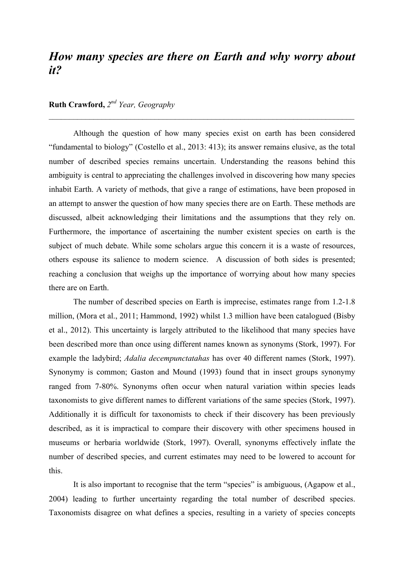## *How many species are there on Earth and why worry about it?*

*\_*\_\_\_\_\_\_\_\_\_\_\_\_\_\_\_\_\_\_\_\_\_\_\_\_\_\_\_\_\_\_\_\_\_\_\_\_\_\_\_\_\_\_\_\_\_\_\_\_\_\_\_\_\_\_\_\_\_\_\_\_\_\_\_\_\_\_\_\_\_\_\_\_\_\_

## **Ruth Crawford,** *2nd Year, Geography*

Although the question of how many species exist on earth has been considered "fundamental to biology" (Costello et al., 2013: 413); its answer remains elusive, as the total number of described species remains uncertain. Understanding the reasons behind this ambiguity is central to appreciating the challenges involved in discovering how many species inhabit Earth. A variety of methods, that give a range of estimations, have been proposed in an attempt to answer the question of how many species there are on Earth. These methods are discussed, albeit acknowledging their limitations and the assumptions that they rely on. Furthermore, the importance of ascertaining the number existent species on earth is the subject of much debate. While some scholars argue this concern it is a waste of resources, others espouse its salience to modern science. A discussion of both sides is presented; reaching a conclusion that weighs up the importance of worrying about how many species there are on Earth.

The number of described species on Earth is imprecise, estimates range from 1.2-1.8 million, (Mora et al., 2011; Hammond, 1992) whilst 1.3 million have been catalogued (Bisby et al., 2012). This uncertainty is largely attributed to the likelihood that many species have been described more than once using different names known as synonyms (Stork, 1997). For example the ladybird; *Adalia decempunctatahas* has over 40 different names (Stork, 1997). Synonymy is common; Gaston and Mound (1993) found that in insect groups synonymy ranged from 7-80%. Synonyms often occur when natural variation within species leads taxonomists to give different names to different variations of the same species (Stork, 1997). Additionally it is difficult for taxonomists to check if their discovery has been previously described, as it is impractical to compare their discovery with other specimens housed in museums or herbaria worldwide (Stork, 1997). Overall, synonyms effectively inflate the number of described species, and current estimates may need to be lowered to account for this.

It is also important to recognise that the term "species" is ambiguous, (Agapow et al., 2004) leading to further uncertainty regarding the total number of described species. Taxonomists disagree on what defines a species, resulting in a variety of species concepts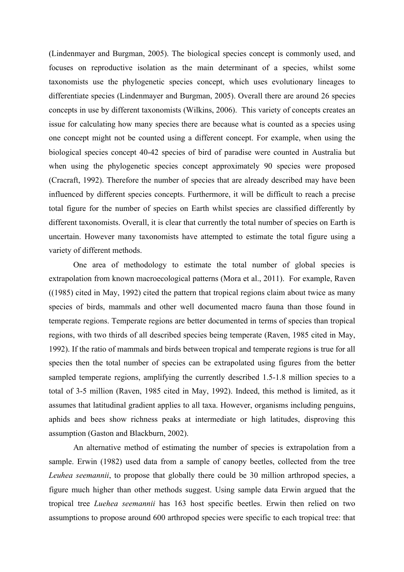(Lindenmayer and Burgman, 2005). The biological species concept is commonly used, and focuses on reproductive isolation as the main determinant of a species, whilst some taxonomists use the phylogenetic species concept, which uses evolutionary lineages to differentiate species (Lindenmayer and Burgman, 2005). Overall there are around 26 species concepts in use by different taxonomists (Wilkins, 2006). This variety of concepts creates an issue for calculating how many species there are because what is counted as a species using one concept might not be counted using a different concept. For example, when using the biological species concept 40-42 species of bird of paradise were counted in Australia but when using the phylogenetic species concept approximately 90 species were proposed (Cracraft, 1992). Therefore the number of species that are already described may have been influenced by different species concepts. Furthermore, it will be difficult to reach a precise total figure for the number of species on Earth whilst species are classified differently by different taxonomists. Overall, it is clear that currently the total number of species on Earth is uncertain. However many taxonomists have attempted to estimate the total figure using a variety of different methods.

One area of methodology to estimate the total number of global species is extrapolation from known macroecological patterns (Mora et al., 2011). For example, Raven ((1985) cited in May, 1992) cited the pattern that tropical regions claim about twice as many species of birds, mammals and other well documented macro fauna than those found in temperate regions. Temperate regions are better documented in terms of species than tropical regions, with two thirds of all described species being temperate (Raven, 1985 cited in May, 1992). If the ratio of mammals and birds between tropical and temperate regions is true for all species then the total number of species can be extrapolated using figures from the better sampled temperate regions, amplifying the currently described 1.5-1.8 million species to a total of 3-5 million (Raven, 1985 cited in May, 1992). Indeed, this method is limited, as it assumes that latitudinal gradient applies to all taxa. However, organisms including penguins, aphids and bees show richness peaks at intermediate or high latitudes, disproving this assumption (Gaston and Blackburn, 2002).

An alternative method of estimating the number of species is extrapolation from a sample. Erwin (1982) used data from a sample of canopy beetles, collected from the tree *Leuhea seemannii*, to propose that globally there could be 30 million arthropod species, a figure much higher than other methods suggest. Using sample data Erwin argued that the tropical tree *Luehea seemannii* has 163 host specific beetles. Erwin then relied on two assumptions to propose around 600 arthropod species were specific to each tropical tree: that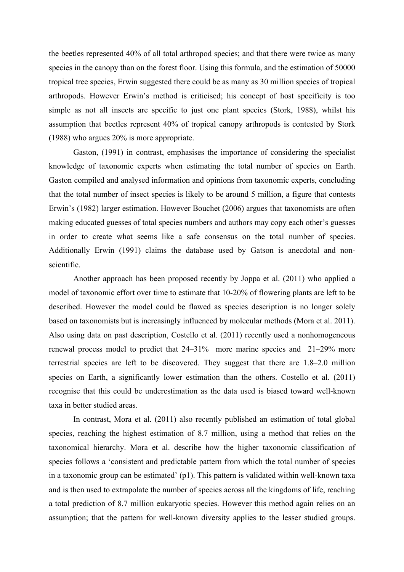the beetles represented 40% of all total arthropod species; and that there were twice as many species in the canopy than on the forest floor. Using this formula, and the estimation of 50000 tropical tree species, Erwin suggested there could be as many as 30 million species of tropical arthropods. However Erwin's method is criticised; his concept of host specificity is too simple as not all insects are specific to just one plant species (Stork, 1988), whilst his assumption that beetles represent 40% of tropical canopy arthropods is contested by Stork (1988) who argues 20% is more appropriate.

Gaston, (1991) in contrast, emphasises the importance of considering the specialist knowledge of taxonomic experts when estimating the total number of species on Earth. Gaston compiled and analysed information and opinions from taxonomic experts, concluding that the total number of insect species is likely to be around 5 million, a figure that contests Erwin's (1982) larger estimation. However Bouchet (2006) argues that taxonomists are often making educated guesses of total species numbers and authors may copy each other's guesses in order to create what seems like a safe consensus on the total number of species. Additionally Erwin (1991) claims the database used by Gatson is anecdotal and nonscientific.

Another approach has been proposed recently by Joppa et al. (2011) who applied a model of taxonomic effort over time to estimate that 10-20% of flowering plants are left to be described. However the model could be flawed as species description is no longer solely based on taxonomists but is increasingly influenced by molecular methods (Mora et al. 2011). Also using data on past description, Costello et al. (2011) recently used a nonhomogeneous renewal process model to predict that 24–31% more marine species and 21–29% more terrestrial species are left to be discovered. They suggest that there are 1.8–2.0 million species on Earth, a significantly lower estimation than the others. Costello et al. (2011) recognise that this could be underestimation as the data used is biased toward well-known taxa in better studied areas.

In contrast, Mora et al. (2011) also recently published an estimation of total global species, reaching the highest estimation of 8.7 million, using a method that relies on the taxonomical hierarchy. Mora et al. describe how the higher taxonomic classification of species follows a 'consistent and predictable pattern from which the total number of species in a taxonomic group can be estimated' (p1). This pattern is validated within well-known taxa and is then used to extrapolate the number of species across all the kingdoms of life, reaching a total prediction of 8.7 million eukaryotic species. However this method again relies on an assumption; that the pattern for well-known diversity applies to the lesser studied groups.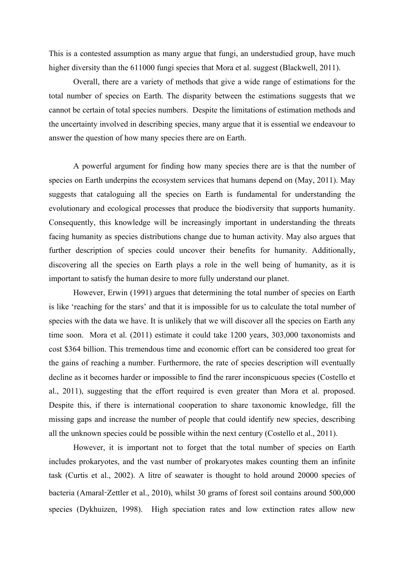This is a contested assumption as many argue that fungi, an understudied group, have much higher diversity than the 611000 fungi species that Mora et al. suggest (Blackwell, 2011).

Overall, there are a variety of methods that give a wide range of estimations for the total number of species on Earth. The disparity between the estimations suggests that we cannot be certain of total species numbers. Despite the limitations of estimation methods and the uncertainty involved in describing species, many argue that it is essential we endeavour to answer the question of how many species there are on Earth.

A powerful argument for finding how many species there are is that the number of species on Earth underpins the ecosystem services that humans depend on (May, 2011). May suggests that cataloguing all the species on Earth is fundamental for understanding the evolutionary and ecological processes that produce the biodiversity that supports humanity. Consequently, this knowledge will be increasingly important in understanding the threats facing humanity as species distributions change due to human activity. May also argues that further description of species could uncover their benefits for humanity. Additionally, discovering all the species on Earth plays a role in the well being of humanity, as it is important to satisfy the human desire to more fully understand our planet.

However, Erwin (1991) argues that determining the total number of species on Earth is like 'reaching for the stars' and that it is impossible for us to calculate the total number of species with the data we have. It is unlikely that we will discover all the species on Earth any time soon. Mora et al. (2011) estimate it could take 1200 years, 303,000 taxonomists and cost \$364 billion. This tremendous time and economic effort can be considered too great for the gains of reaching a number. Furthermore, the rate of species description will eventually decline as it becomes harder or impossible to find the rarer inconspicuous species (Costello et al., 2011), suggesting that the effort required is even greater than Mora et al. proposed. Despite this, if there is international cooperation to share taxonomic knowledge, fill the missing gaps and increase the number of people that could identify new species, describing all the unknown species could be possible within the next century (Costello et al., 2011).

However, it is important not to forget that the total number of species on Earth includes prokaryotes, and the vast number of prokaryotes makes counting them an infinite task (Curtis et al., 2002). A litre of seawater is thought to hold around 20000 species of bacteria (Amaral-Zettler et al., 2010), whilst 30 grams of forest soil contains around 500,000 species (Dykhuizen, 1998). High speciation rates and low extinction rates allow new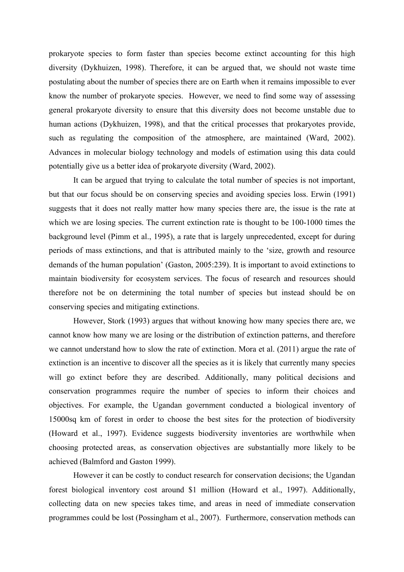prokaryote species to form faster than species become extinct accounting for this high diversity (Dykhuizen, 1998). Therefore, it can be argued that, we should not waste time postulating about the number of species there are on Earth when it remains impossible to ever know the number of prokaryote species. However, we need to find some way of assessing general prokaryote diversity to ensure that this diversity does not become unstable due to human actions (Dykhuizen, 1998), and that the critical processes that prokaryotes provide, such as regulating the composition of the atmosphere, are maintained (Ward, 2002). Advances in molecular biology technology and models of estimation using this data could potentially give us a better idea of prokaryote diversity (Ward, 2002).

It can be argued that trying to calculate the total number of species is not important, but that our focus should be on conserving species and avoiding species loss. Erwin (1991) suggests that it does not really matter how many species there are, the issue is the rate at which we are losing species. The current extinction rate is thought to be 100-1000 times the background level (Pimm et al., 1995), a rate that is largely unprecedented, except for during periods of mass extinctions, and that is attributed mainly to the 'size, growth and resource demands of the human population' (Gaston, 2005:239). It is important to avoid extinctions to maintain biodiversity for ecosystem services. The focus of research and resources should therefore not be on determining the total number of species but instead should be on conserving species and mitigating extinctions.

However, Stork (1993) argues that without knowing how many species there are, we cannot know how many we are losing or the distribution of extinction patterns, and therefore we cannot understand how to slow the rate of extinction. Mora et al. (2011) argue the rate of extinction is an incentive to discover all the species as it is likely that currently many species will go extinct before they are described. Additionally, many political decisions and conservation programmes require the number of species to inform their choices and objectives. For example, the Ugandan government conducted a biological inventory of 15000sq km of forest in order to choose the best sites for the protection of biodiversity (Howard et al., 1997). Evidence suggests biodiversity inventories are worthwhile when choosing protected areas, as conservation objectives are substantially more likely to be achieved (Balmford and Gaston 1999).

However it can be costly to conduct research for conservation decisions; the Ugandan forest biological inventory cost around \$1 million (Howard et al., 1997). Additionally, collecting data on new species takes time, and areas in need of immediate conservation programmes could be lost (Possingham et al., 2007). Furthermore, conservation methods can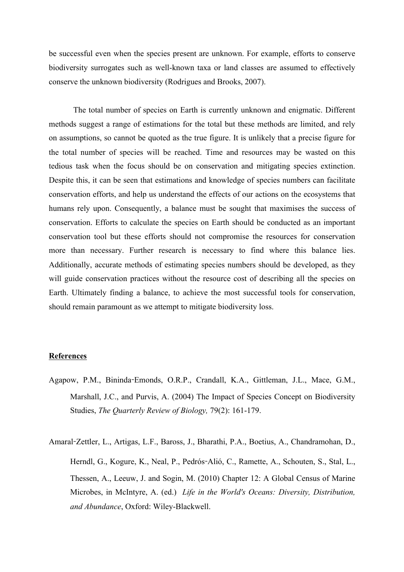be successful even when the species present are unknown. For example, efforts to conserve biodiversity surrogates such as well-known taxa or land classes are assumed to effectively conserve the unknown biodiversity (Rodrigues and Brooks, 2007).

The total number of species on Earth is currently unknown and enigmatic. Different methods suggest a range of estimations for the total but these methods are limited, and rely on assumptions, so cannot be quoted as the true figure. It is unlikely that a precise figure for the total number of species will be reached. Time and resources may be wasted on this tedious task when the focus should be on conservation and mitigating species extinction. Despite this, it can be seen that estimations and knowledge of species numbers can facilitate conservation efforts, and help us understand the effects of our actions on the ecosystems that humans rely upon. Consequently, a balance must be sought that maximises the success of conservation. Efforts to calculate the species on Earth should be conducted as an important conservation tool but these efforts should not compromise the resources for conservation more than necessary. Further research is necessary to find where this balance lies. Additionally, accurate methods of estimating species numbers should be developed, as they will guide conservation practices without the resource cost of describing all the species on Earth. Ultimately finding a balance, to achieve the most successful tools for conservation, should remain paramount as we attempt to mitigate biodiversity loss.

## **References**

Agapow, P.M., Bininda-Emonds, O.R.P., Crandall, K.A., Gittleman, J.L., Mace, G.M., Marshall, J.C., and Purvis, A. (2004) The Impact of Species Concept on Biodiversity Studies, *The Quarterly Review of Biology,* 79(2): 161-179.

Amaral-Zettler, L., Artigas, L.F., Baross, J., Bharathi, P.A., Boetius, A., Chandramohan, D., Herndl, G., Kogure, K., Neal, P., Pedrós-Alió, C., Ramette, A., Schouten, S., Stal, L., Thessen, A., Leeuw, J. and Sogin, M. (2010) Chapter 12: A Global Census of Marine Microbes, in McIntyre, A. (ed.) *Life in the World's Oceans: Diversity, Distribution, and Abundance*, Oxford: Wiley-Blackwell.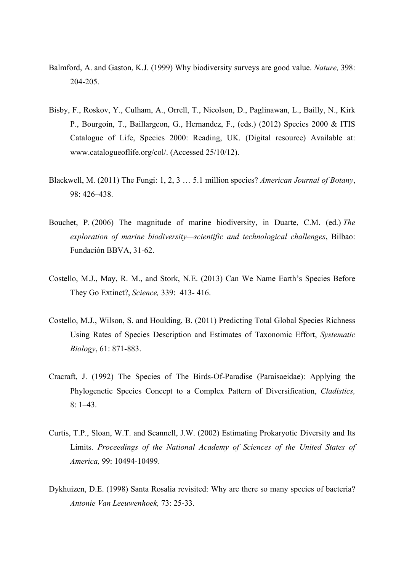- Balmford, A. and Gaston, K.J. (1999) Why biodiversity surveys are good value. *Nature,* 398: 204-205.
- Bisby, F., Roskov, Y., Culham, A., Orrell, T., Nicolson, D., Paglinawan, L., Bailly, N., Kirk P., Bourgoin, T., Baillargeon, G., Hernandez, F., (eds.) (2012) Species 2000 & ITIS Catalogue of Life, Species 2000: Reading, UK. (Digital resource) Available at: www.catalogueoflife.org/col/. (Accessed 25/10/12).
- Blackwell, M. (2011) The Fungi: 1, 2, 3 … 5.1 million species? *American Journal of Botany*, 98: 426–438.
- Bouchet, P. (2006) The magnitude of marine biodiversity, in Duarte, C.M. (ed.) *The exploration of marine biodiversity—scientific and technological challenges*, Bilbao: Fundación BBVA, 31-62.
- Costello, M.J., May, R. M., and Stork, N.E. (2013) Can We Name Earth's Species Before They Go Extinct?, *Science,* 339: 413- 416.
- Costello, M.J., Wilson, S. and Houlding, B. (2011) Predicting Total Global Species Richness Using Rates of Species Description and Estimates of Taxonomic Effort, *Systematic Biology*, 61: 871-883.
- Cracraft, J. (1992) The Species of The Birds-Of-Paradise (Paraisaeidae): Applying the Phylogenetic Species Concept to a Complex Pattern of Diversification, *Cladistics,* 8: 1–43.
- Curtis, T.P., Sloan, W.T. and Scannell, J.W. (2002) Estimating Prokaryotic Diversity and Its Limits. *Proceedings of the National Academy of Sciences of the United States of America,* 99: 10494-10499.
- Dykhuizen, D.E. (1998) Santa Rosalia revisited: Why are there so many species of bacteria? *Antonie Van Leeuwenhoek,* 73: 25-33.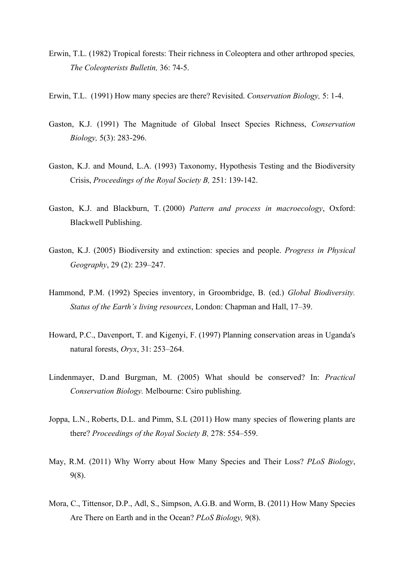- Erwin, T.L. (1982) Tropical forests: Their richness in Coleoptera and other arthropod species*, The Coleopterists Bulletin,* 36: 74-5.
- Erwin, T.L. (1991) How many species are there? Revisited. *Conservation Biology,* 5: 1-4.
- Gaston, K.J. (1991) The Magnitude of Global Insect Species Richness, *Conservation Biology,* 5(3): 283-296.
- Gaston, K.J. and Mound, L.A. (1993) Taxonomy, Hypothesis Testing and the Biodiversity Crisis, *Proceedings of the Royal Society B,* 251: 139-142.
- Gaston, K.J. and Blackburn, T. (2000) *Pattern and process in macroecology*, Oxford: Blackwell Publishing.
- Gaston, K.J. (2005) Biodiversity and extinction: species and people. *Progress in Physical Geography*, 29 (2): 239–247.
- Hammond, P.M. (1992) Species inventory, in Groombridge, B. (ed.) *Global Biodiversity. Status of the Earth's living resources*, London: Chapman and Hall, 17–39.
- Howard, P.C., Davenport, T. and Kigenyi, F. (1997) Planning conservation areas in Uganda's natural forests, *Oryx*, 31: 253–264.
- Lindenmayer, D.and Burgman, M. (2005) What should be conserved? In: *Practical Conservation Biology.* Melbourne: Csiro publishing.
- Joppa, L.N., Roberts, D.L. and Pimm, S.L (2011) How many species of flowering plants are there? *Proceedings of the Royal Society B,* 278: 554–559.
- May, R.M. (2011) Why Worry about How Many Species and Their Loss? *PLoS Biology*, 9(8).
- Mora, C., Tittensor, D.P., Adl, S., Simpson, A.G.B. and Worm, B. (2011) How Many Species Are There on Earth and in the Ocean? *PLoS Biology,* 9(8).